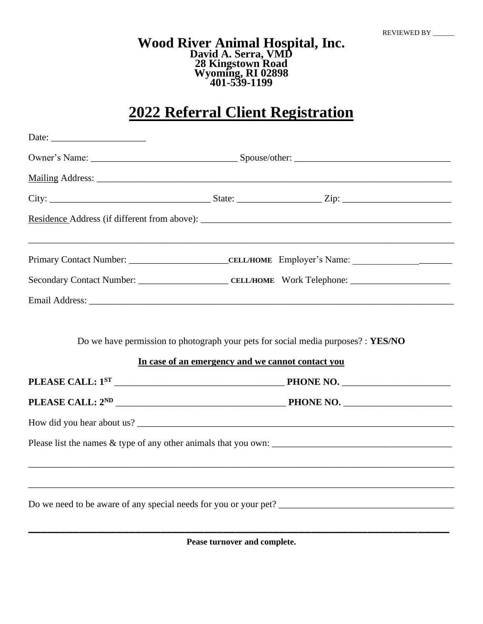#### **Wood River Animal Hospital, Inc. David A. Serra, VMD 28 Kingstown Road Wyoming, RI 02898 401-539-1199**

# **2022 Referral Client Registration**

| Email Address: Lawrence and Security and Security and Security and Security and Security and Security and Security and Security and Security and Security and Security and Security and Security and Security and Security and |                                                   |                                                                                                                                               |  |  |  |
|--------------------------------------------------------------------------------------------------------------------------------------------------------------------------------------------------------------------------------|---------------------------------------------------|-----------------------------------------------------------------------------------------------------------------------------------------------|--|--|--|
|                                                                                                                                                                                                                                | In case of an emergency and we cannot contact you |                                                                                                                                               |  |  |  |
|                                                                                                                                                                                                                                |                                                   |                                                                                                                                               |  |  |  |
|                                                                                                                                                                                                                                |                                                   |                                                                                                                                               |  |  |  |
|                                                                                                                                                                                                                                |                                                   |                                                                                                                                               |  |  |  |
|                                                                                                                                                                                                                                |                                                   |                                                                                                                                               |  |  |  |
|                                                                                                                                                                                                                                |                                                   |                                                                                                                                               |  |  |  |
|                                                                                                                                                                                                                                |                                                   |                                                                                                                                               |  |  |  |
|                                                                                                                                                                                                                                |                                                   | Do we need to be aware of any special needs for you or your pet?<br><u>Letter and the substance of any special needs for you or your pet?</u> |  |  |  |

**Pease turnover and complete.**